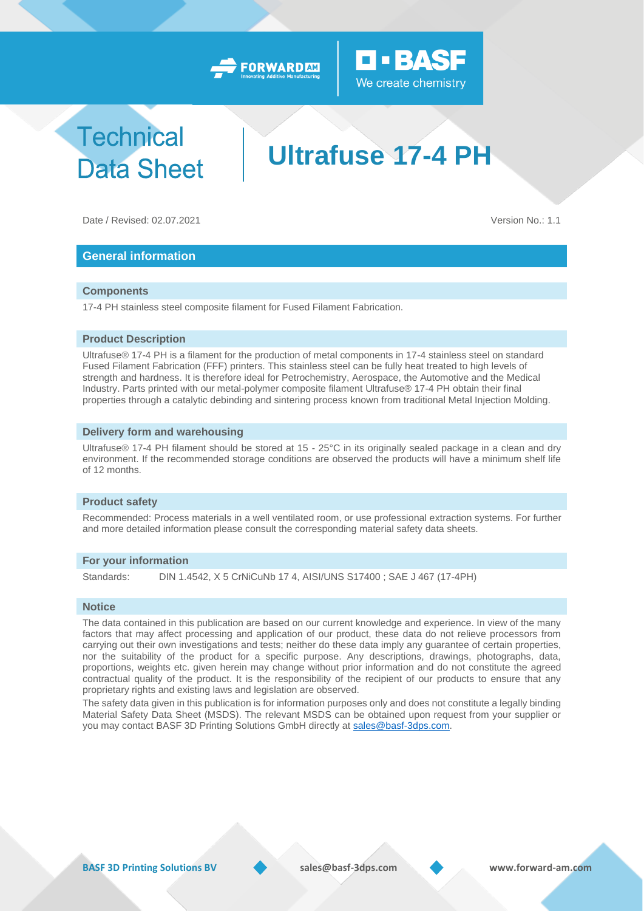



# **Technical Data Sheet**

# **Ultrafuse 17-4 PH**

Date / Revised: 02.07.2021 Version No.: 1.1

## **General information**

#### **Components**

17-4 PH stainless steel composite filament for Fused Filament Fabrication.

#### **Product Description**

Ultrafuse® 17-4 PH is a filament for the production of metal components in 17-4 stainless steel on standard Fused Filament Fabrication (FFF) printers. This stainless steel can be fully heat treated to high levels of strength and hardness. It is therefore ideal for Petrochemistry, Aerospace, the Automotive and the Medical Industry. Parts printed with our metal-polymer composite filament Ultrafuse® 17-4 PH obtain their final properties through a catalytic debinding and sintering process known from traditional Metal Injection Molding.

#### **Delivery form and warehousing**

Ultrafuse® 17-4 PH filament should be stored at 15 - 25°C in its originally sealed package in a clean and dry environment. If the recommended storage conditions are observed the products will have a minimum shelf life of 12 months.

#### **Product safety**

Recommended: Process materials in a well ventilated room, or use professional extraction systems. For further and more detailed information please consult the corresponding material safety data sheets.

#### **For your information**

Standards: DIN 1.4542, X 5 CrNiCuNb 17 4, AISI/UNS S17400 ; SAE J 467 (17-4PH)

#### **Notice**

The data contained in this publication are based on our current knowledge and experience. In view of the many factors that may affect processing and application of our product, these data do not relieve processors from carrying out their own investigations and tests; neither do these data imply any guarantee of certain properties, nor the suitability of the product for a specific purpose. Any descriptions, drawings, photographs, data, proportions, weights etc. given herein may change without prior information and do not constitute the agreed contractual quality of the product. It is the responsibility of the recipient of our products to ensure that any proprietary rights and existing laws and legislation are observed.

The safety data given in this publication is for information purposes only and does not constitute a legally binding Material Safety Data Sheet (MSDS). The relevant MSDS can be obtained upon request from your supplier or you may contact BASF 3D Printing Solutions GmbH directly at [sales@basf-3dps.com.](mailto:sales@basf-3dps.com)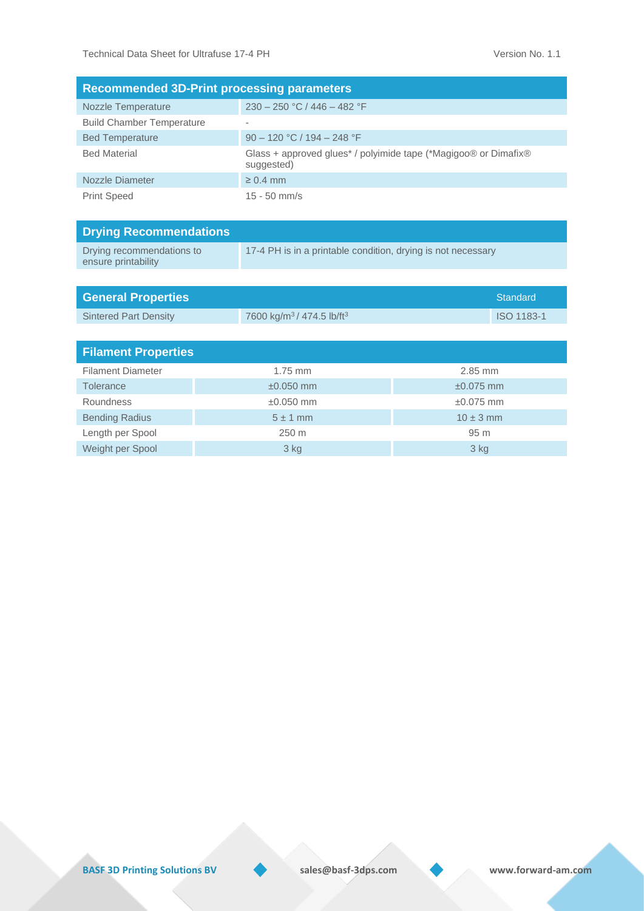| <b>Recommended 3D-Print processing parameters</b> |                                                                               |  |  |  |
|---------------------------------------------------|-------------------------------------------------------------------------------|--|--|--|
| <b>Nozzle Temperature</b>                         | $230 - 250$ °C / 446 - 482 °F                                                 |  |  |  |
| <b>Build Chamber Temperature</b>                  |                                                                               |  |  |  |
| <b>Bed Temperature</b>                            | $90 - 120$ °C / 194 – 248 °F                                                  |  |  |  |
| <b>Bed Material</b>                               | Glass + approved glues* / polyimide tape (*Magigoo® or Dimafix®<br>suggested) |  |  |  |
| Nozzle Diameter                                   | $\geq 0.4$ mm                                                                 |  |  |  |
| <b>Print Speed</b>                                | $15 - 50$ mm/s                                                                |  |  |  |

| <b>Drying Recommendations</b>                    |                                                              |
|--------------------------------------------------|--------------------------------------------------------------|
| Drying recommendations to<br>ensure printability | 17-4 PH is in a printable condition, drying is not necessary |

| <b>General Properties</b>    |                                                   | <b>Standard</b> |  |  |
|------------------------------|---------------------------------------------------|-----------------|--|--|
| <b>Sintered Part Density</b> | 7600 kg/m <sup>3</sup> / 474.5 lb/ft <sup>3</sup> | ISO 1183-1      |  |  |
|                              |                                                   |                 |  |  |
| <b>Filament Properties</b>   |                                                   |                 |  |  |
| <b>Filament Diameter</b>     | $1.75$ mm                                         | $2.85$ mm       |  |  |
| <b>Tolerance</b>             | $\pm 0.050$ mm                                    | $\pm 0.075$ mm  |  |  |
| <b>Roundness</b>             | $\pm 0.050$ mm                                    | $\pm 0.075$ mm  |  |  |
| <b>Bending Radius</b>        | $5 \pm 1$ mm                                      | $10 \pm 3$ mm   |  |  |

Length per Spool 250 m 250 m 95 m Weight per Spool 3 kg 3 kg

**BASF 3D Printing Solutions BV** sales@basf-3dps.com www.forward-am.com